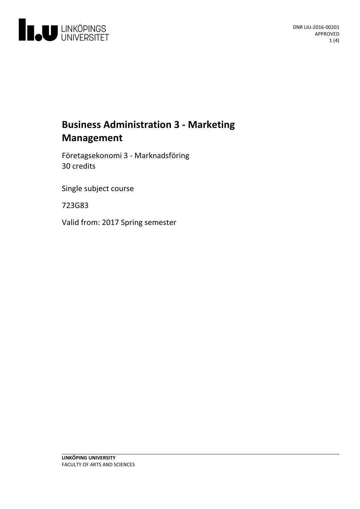

# **Business Administration 3 - Marketing Management**

Företagsekonomi 3 - Marknadsföring 30 credits

Single subject course

723G83

Valid from: 2017 Spring semester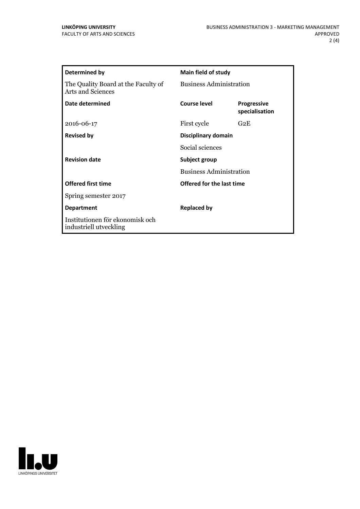| Determined by                                             | <b>Main field of study</b>                      |                                      |
|-----------------------------------------------------------|-------------------------------------------------|--------------------------------------|
| The Quality Board at the Faculty of<br>Arts and Sciences  | <b>Business Administration</b>                  |                                      |
| Date determined                                           | Course level                                    | <b>Progressive</b><br>specialisation |
| 2016-06-17                                                | First cycle                                     | G2E                                  |
| <b>Revised by</b>                                         | Disciplinary domain                             |                                      |
|                                                           | Social sciences                                 |                                      |
| <b>Revision date</b>                                      | Subject group<br><b>Business Administration</b> |                                      |
|                                                           |                                                 |                                      |
| <b>Offered first time</b>                                 | Offered for the last time                       |                                      |
| Spring semester 2017                                      |                                                 |                                      |
| <b>Department</b>                                         | Replaced by                                     |                                      |
| Institutionen för ekonomisk och<br>industriell utveckling |                                                 |                                      |

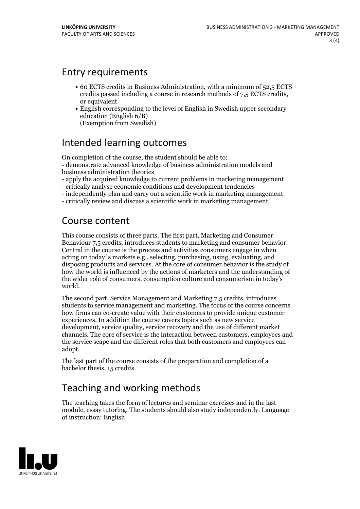### Entry requirements

- 60 ECTS credits in Business Administration, with a minimum of 52,5 ECTS credits passed including <sup>a</sup> course in research methods of 7,5 ECTS credits, or equivalent
- English corresponding to the level of English in Swedish upper secondary education (English 6/B) (Exemption from Swedish)

### Intended learning outcomes

On completion of the course, the student should be able to:<br>- demonstrate advanced knowledge of business administration models and business administration theories

- apply the acquired knowledge to current problems in marketing management - critically analyse economic conditions and development tendencies

- 
- independently plan and carry out <sup>a</sup> scientific work in marketing management critically review and discuss <sup>a</sup> scientific work in marketing management
- 

# Course content

This course consists of three parts. The first part, Marketing and Consumer Behaviour 7,5 credits, introduces students to marketing and consumer behavior. Central in the course is the process and activities consumers engage in when acting on today´s markets e.g., selecting, purchasing, using, evaluating, and disposing products and services. At the core of consumer behavior is the study of how the world is influenced by the actions of marketers and the understanding of the wider role of consumers, consumption culture and consumerism in today's world.

The second part, Service Management and Marketing 7,5 credits, introduces students to service management and marketing. The focus of the course concerns how firms can co-create value with their customers to provide unique customer experiences. In addition the course covers topics such as new service development, service quality, service recovery and the use of different market channels. The core of service is the interaction between customers, employees and the service scape and the different roles that both customers and employees can adopt.

The last part of the course consists of the preparation and completion of a bachelor thesis, 15 credits.

# Teaching and working methods

The teaching takes the form of lectures and seminar exercises and in the last module, essay tutoring. The students should also study independently. Language of instruction: English